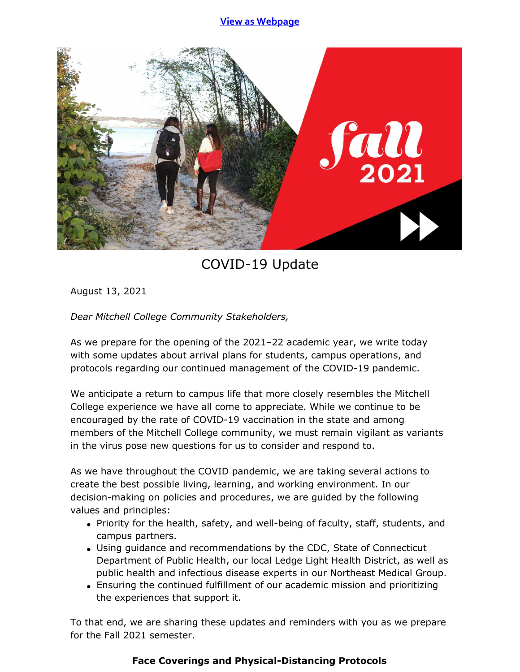## **View as [Webpage](https://campaignlp.constantcontact.com/em/1119223208753/815c55e1-d671-4835-b263-cbc0254baff9)**



# COVID-19 Update

August 13, 2021

*Dear Mitchell College Community Stakeholders,*

As we prepare for the opening of the 2021–22 academic year, we write today with some updates about arrival plans for students, campus operations, and protocols regarding our continued management of the COVID-19 pandemic.

We anticipate a return to campus life that more closely resembles the Mitchell College experience we have all come to appreciate. While we continue to be encouraged by the rate of COVID-19 vaccination in the state and among members of the Mitchell College community, we must remain vigilant as variants in the virus pose new questions for us to consider and respond to.

As we have throughout the COVID pandemic, we are taking several actions to create the best possible living, learning, and working environment. In our decision-making on policies and procedures, we are guided by the following values and principles:

- Priority for the health, safety, and well-being of faculty, staff, students, and campus partners.
- Using guidance and recommendations by the CDC, State of Connecticut Department of Public Health, our local Ledge Light Health District, as well as public health and infectious disease experts in our Northeast Medical Group.
- Ensuring the continued fulfillment of our academic mission and prioritizing the experiences that support it.

To that end, we are sharing these updates and reminders with you as we prepare for the Fall 2021 semester.

## **Face Coverings and Physical-Distancing Protocols**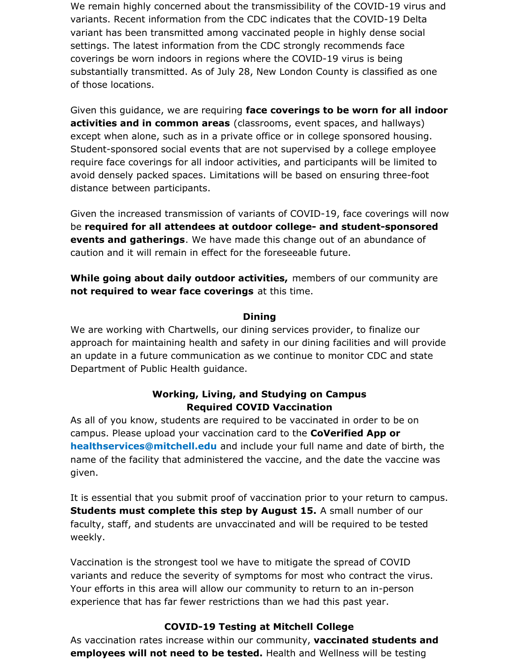We remain highly concerned about the transmissibility of the COVID-19 virus and variants. Recent information from the CDC indicates that the COVID-19 Delta variant has been transmitted among vaccinated people in highly dense social settings. The latest information from the CDC strongly recommends face coverings be worn indoors in regions where the COVID-19 virus is being substantially transmitted. As of July 28, New London County is classified as one of those locations.

Given this guidance, we are requiring **face coverings to be worn for all indoor activities and in common areas** (classrooms, event spaces, and hallways) except when alone, such as in a private office or in college sponsored housing. Student-sponsored social events that are not supervised by a college employee require face coverings for all indoor activities, and participants will be limited to avoid densely packed spaces. Limitations will be based on ensuring three-foot distance between participants.

Given the increased transmission of variants of COVID-19, face coverings will now be **required for all attendees at outdoor college- and student-sponsored events and gatherings**. We have made this change out of an abundance of caution and it will remain in effect for the foreseeable future.

**While going about daily outdoor activities,** members of our community are **not required to wear face coverings** at this time.

#### **Dining**

We are working with Chartwells, our dining services provider, to finalize our approach for maintaining health and safety in our dining facilities and will provide an update in a future communication as we continue to monitor CDC and state Department of Public Health guidance.

## **Working, Living, and Studying on Campus Required COVID Vaccination**

As all of you know, students are required to be vaccinated in order to be on campus. Please upload your vaccination card to the **CoVerified App or [healthservices@mitchell.edu](mailto:healthservices@mitchell.edu)** and include your full name and date of birth, the name of the facility that administered the vaccine, and the date the vaccine was given.

It is essential that you submit proof of vaccination prior to your return to campus. **Students must complete this step by August 15.** A small number of our faculty, staff, and students are unvaccinated and will be required to be tested weekly.

Vaccination is the strongest tool we have to mitigate the spread of COVID variants and reduce the severity of symptoms for most who contract the virus. Your efforts in this area will allow our community to return to an in-person experience that has far fewer restrictions than we had this past year.

### **COVID-19 Testing at Mitchell College**

As vaccination rates increase within our community, **vaccinated students and employees will not need to be tested.** Health and Wellness will be testing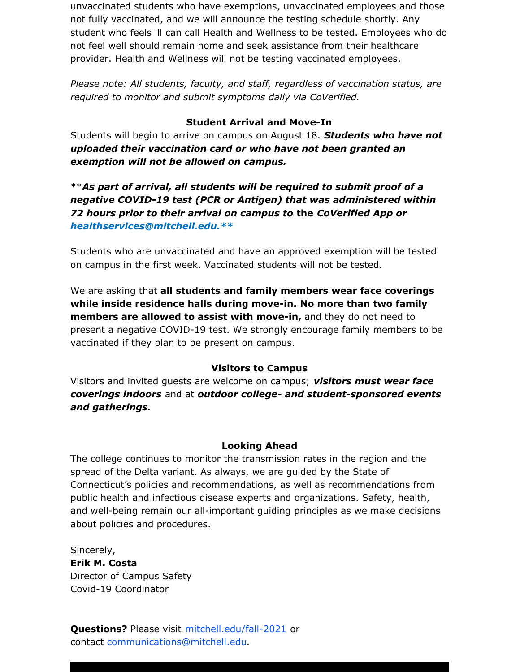unvaccinated students who have exemptions, unvaccinated employees and those not fully vaccinated, and we will announce the testing schedule shortly. Any student who feels ill can call Health and Wellness to be tested. Employees who do not feel well should remain home and seek assistance from their healthcare provider. Health and Wellness will not be testing vaccinated employees.

*Please note: All students, faculty, and staff, regardless of vaccination status, are required to monitor and submit symptoms daily via CoVerified.*

## **Student Arrival and Move-In**

Students will begin to arrive on campus on August 18. *Students who have not uploaded their vaccination card or who have not been granted an exemption will not be allowed on campus.*

\*\**As part of arrival, all students will be required to submit proof of a negative COVID-19 test (PCR or Antigen) that was administered within 72 hours prior to their arrival on campus to* **the** *CoVerified App or [healthservices@mitchell.edu.\\*\\*](mailto:healthservices@mitchell.edu.**)*

Students who are unvaccinated and have an approved exemption will be tested on campus in the first week. Vaccinated students will not be tested.

We are asking that **all students and family members wear face coverings while inside residence halls during move-in. No more than two family members are allowed to assist with move-in,** and they do not need to present a negative COVID-19 test. We strongly encourage family members to be vaccinated if they plan to be present on campus.

### **Visitors to Campus**

Visitors and invited guests are welcome on campus; *visitors must wear face coverings indoors* and at *outdoor college- and student-sponsored events and gatherings.*

### **Looking Ahead**

The college continues to monitor the transmission rates in the region and the spread of the Delta variant. As always, we are guided by the State of Connecticut's policies and recommendations, as well as recommendations from public health and infectious disease experts and organizations. Safety, health, and well-being remain our all-important guiding principles as we make decisions about policies and procedures.

Sincerely, **Erik M. Costa** Director of Campus Safety Covid-19 Coordinator

**Questions?** Please visit [mitchell.edu/fall-2021](https://mitchell.edu/fall-2021/) or contact [communications@mitchell.edu](mailto:communications@mitchell.edu).